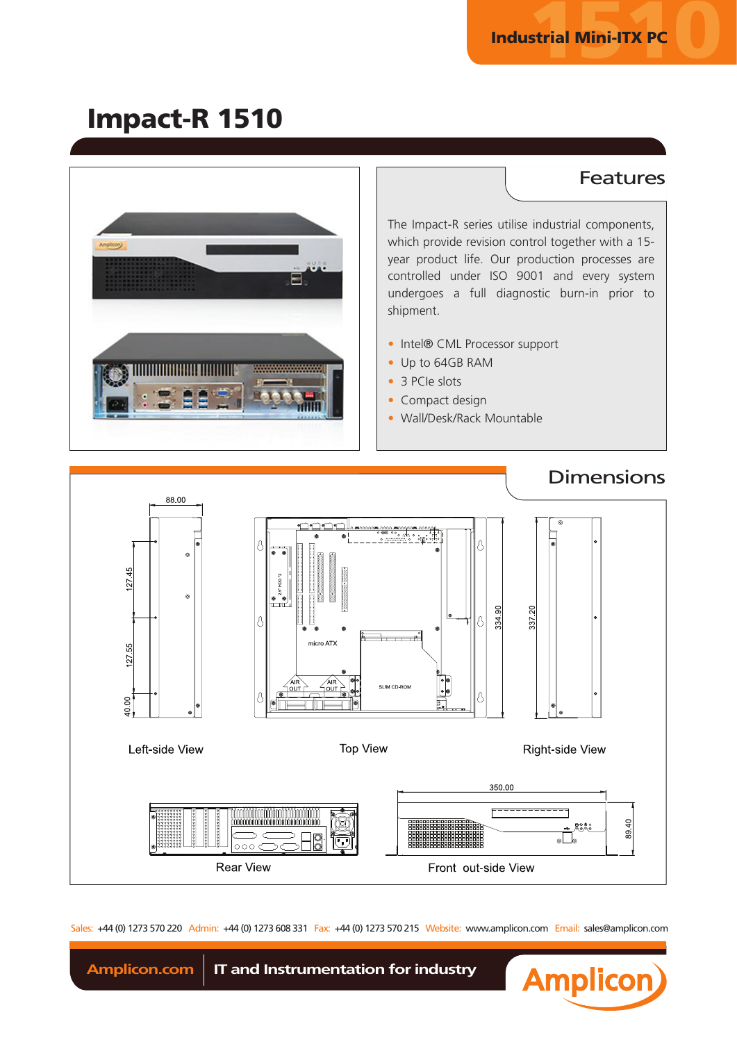## Impact-R 1510



The Impact-R series utilise industrial components, which provide revision control together with a 15 year product life. Our production processes are controlled under ISO 9001 and every system undergoes a full diagnostic burn-in prior to shipment.

- Intel® CML Processor support
- Up to 64GB RAM
- 3 PCIe slots
- Compact design
- Wall/Desk/Rack Mountable



Sales: +44 (0) 1273 570 220 Admin: +44 (0) 1273 608 331 Fax: +44 (0) 1273 570 215 Website: www.amplicon.com Email: sales@amplicon.com



Amplicon.com **IT** and Instrumentation for industry